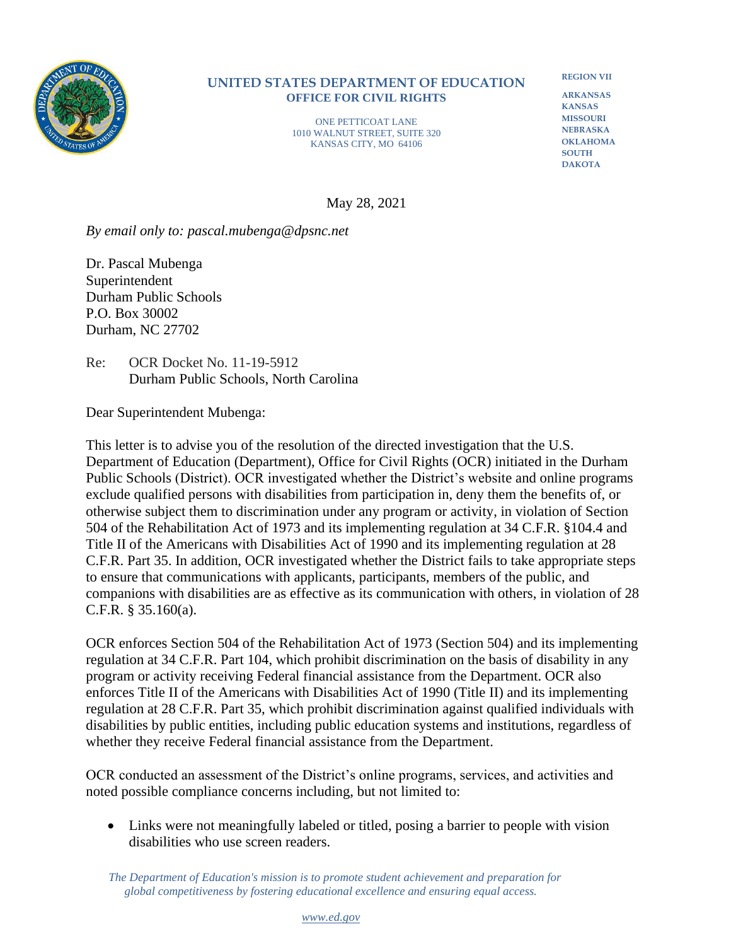

## **UNITED STATES DEPARTMENT OF EDUCATION OFFICE FOR CIVIL RIGHTS**

ONE PETTICOAT LANE 1010 WALNUT STREET, SUITE 320 KANSAS CITY, MO 64106

**REGION VII**

**ARKANSAS KANSAS MISSOURI NEBRASKA OKLAHOMA SOUTH DAKOTA**

May 28, 2021

*By email only to: pascal.mubenga@dpsnc.net*

Dr. Pascal Mubenga Superintendent Durham Public Schools P.O. Box 30002 Durham, NC 27702

Re: OCR Docket No. 11-19-5912 Durham Public Schools, North Carolina

Dear Superintendent Mubenga:

This letter is to advise you of the resolution of the directed investigation that the U.S. Department of Education (Department), Office for Civil Rights (OCR) initiated in the Durham Public Schools (District). OCR investigated whether the District's website and online programs exclude qualified persons with disabilities from participation in, deny them the benefits of, or otherwise subject them to discrimination under any program or activity, in violation of Section 504 of the Rehabilitation Act of 1973 and its implementing regulation at 34 C.F.R. §104.4 and Title II of the Americans with Disabilities Act of 1990 and its implementing regulation at 28 C.F.R. Part 35. In addition, OCR investigated whether the District fails to take appropriate steps to ensure that communications with applicants, participants, members of the public, and companions with disabilities are as effective as its communication with others, in violation of 28 C.F.R. § 35.160(a).

OCR enforces Section 504 of the Rehabilitation Act of 1973 (Section 504) and its implementing regulation at 34 C.F.R. Part 104, which prohibit discrimination on the basis of disability in any program or activity receiving Federal financial assistance from the Department. OCR also enforces Title II of the Americans with Disabilities Act of 1990 (Title II) and its implementing regulation at 28 C.F.R. Part 35, which prohibit discrimination against qualified individuals with disabilities by public entities, including public education systems and institutions, regardless of whether they receive Federal financial assistance from the Department.

OCR conducted an assessment of the District's online programs, services, and activities and noted possible compliance concerns including, but not limited to:

• Links were not meaningfully labeled or titled, posing a barrier to people with vision disabilities who use screen readers.

 *The Department of Education's mission is to promote student achievement and preparation for global competitiveness by fostering educational excellence and ensuring equal access.*

## *[www.ed.gov](http://www.ed.gov/)*